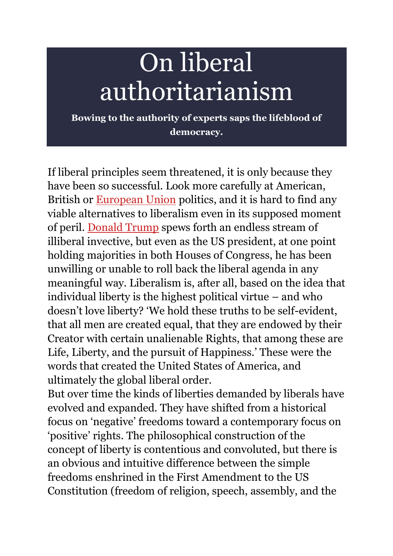# On liberal authoritarianism

**Bowing to the authority of experts saps the lifeblood of democracy.**

If liberal principles seem threatened, it is only because they have been so successful. Look more carefully at American, British or **[European Union](https://www.spiked-online.com/tag/eu/)** politics, and it is hard to find any viable alternatives to liberalism even in its supposed moment of peril. [Donald Trump](https://www.spiked-online.com/tag/donald-trump/) spews forth an endless stream of illiberal invective, but even as the US president, at one point holding majorities in both Houses of Congress, he has been unwilling or unable to roll back the liberal agenda in any meaningful way. Liberalism is, after all, based on the idea that individual liberty is the highest political virtue – and who doesn't love liberty? 'We hold these truths to be self-evident, that all men are created equal, that they are endowed by their Creator with certain unalienable Rights, that among these are Life, Liberty, and the pursuit of Happiness.' These were the words that created the United States of America, and ultimately the global liberal order.

But over time the kinds of liberties demanded by liberals have evolved and expanded. They have shifted from a historical focus on 'negative' freedoms toward a contemporary focus on 'positive' rights. The philosophical construction of the concept of liberty is contentious and convoluted, but there is an obvious and intuitive difference between the simple freedoms enshrined in the First Amendment to the US Constitution (freedom of religion, speech, assembly, and the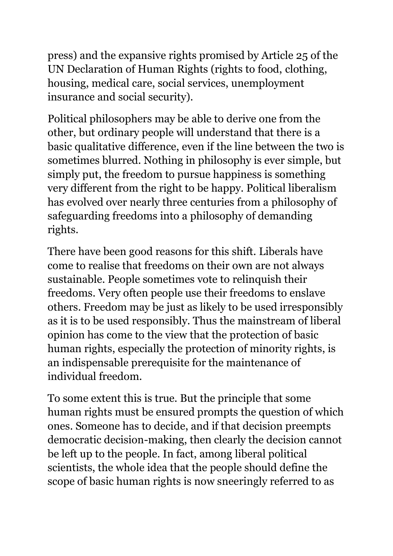press) and the expansive rights promised by Article 25 of the UN Declaration of Human Rights (rights to food, clothing, housing, medical care, social services, unemployment insurance and social security).

Political philosophers may be able to derive one from the other, but ordinary people will understand that there is a basic qualitative difference, even if the line between the two is sometimes blurred. Nothing in philosophy is ever simple, but simply put, the freedom to pursue happiness is something very different from the right to be happy. Political liberalism has evolved over nearly three centuries from a philosophy of safeguarding freedoms into a philosophy of demanding rights.

There have been good reasons for this shift. Liberals have come to realise that freedoms on their own are not always sustainable. People sometimes vote to relinquish their freedoms. Very often people use their freedoms to enslave others. Freedom may be just as likely to be used irresponsibly as it is to be used responsibly. Thus the mainstream of liberal opinion has come to the view that the protection of basic human rights, especially the protection of minority rights, is an indispensable prerequisite for the maintenance of individual freedom.

To some extent this is true. But the principle that some human rights must be ensured prompts the question of which ones. Someone has to decide, and if that decision preempts democratic decision-making, then clearly the decision cannot be left up to the people. In fact, among liberal political scientists, the whole idea that the people should define the scope of basic human rights is now sneeringly referred to as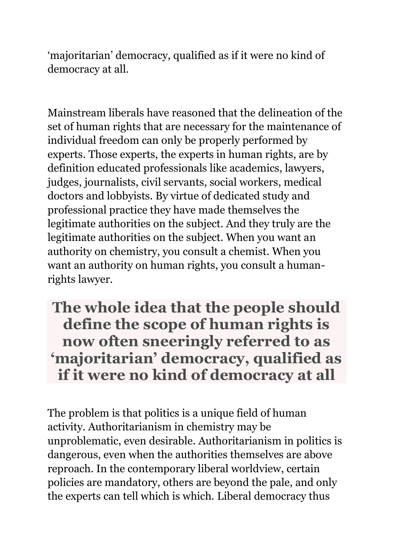'majoritarian' democracy, qualified as if it were no kind of democracy at all.

Mainstream liberals have reasoned that the delineation of the set of human rights that are necessary for the maintenance of individual freedom can only be properly performed by experts. Those experts, the experts in human rights, are by definition educated professionals like academics, lawyers, judges, journalists, civil servants, social workers, medical doctors and lobbyists. By virtue of dedicated study and professional practice they have made themselves the legitimate authorities on the subject. And they truly are the legitimate authorities on the subject. When you want an authority on chemistry, you consult a chemist. When you want an authority on human rights, you consult a humanrights lawyer.

## **The whole idea that the people should define the scope of human rights is now often sneeringly referred to as 'majoritarian' democracy, qualified as if it were no kind of democracy at all**

The problem is that politics is a unique field of human activity. Authoritarianism in chemistry may be unproblematic, even desirable. Authoritarianism in politics is dangerous, even when the authorities themselves are above reproach. In the contemporary liberal worldview, certain policies are mandatory, others are beyond the pale, and only the experts can tell which is which. Liberal democracy thus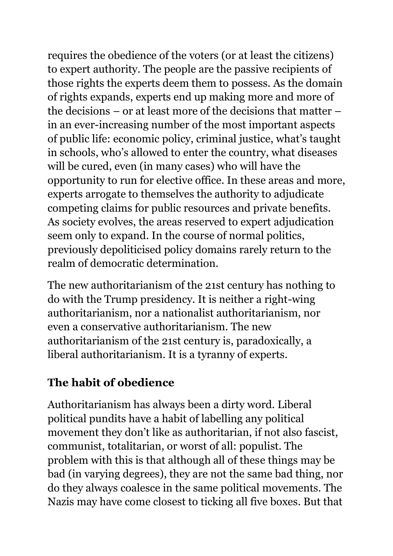requires the obedience of the voters (or at least the citizens) to expert authority. The people are the passive recipients of those rights the experts deem them to possess. As the domain of rights expands, experts end up making more and more of the decisions – or at least more of the decisions that matter – in an ever-increasing number of the most important aspects of public life: economic policy, criminal justice, what's taught in schools, who's allowed to enter the country, what diseases will be cured, even (in many cases) who will have the opportunity to run for elective office. In these areas and more, experts arrogate to themselves the authority to adjudicate competing claims for public resources and private benefits. As society evolves, the areas reserved to expert adjudication seem only to expand. In the course of normal politics, previously depoliticised policy domains rarely return to the realm of democratic determination.

The new authoritarianism of the 21st century has nothing to do with the Trump presidency. It is neither a right-wing authoritarianism, nor a nationalist authoritarianism, nor even a conservative authoritarianism. The new authoritarianism of the 21st century is, paradoxically, a liberal authoritarianism. It is a tyranny of experts.

#### **The habit of obedience**

Authoritarianism has always been a dirty word. Liberal political pundits have a habit of labelling any political movement they don't like as authoritarian, if not also fascist, communist, totalitarian, or worst of all: populist. The problem with this is that although all of these things may be bad (in varying degrees), they are not the same bad thing, nor do they always coalesce in the same political movements. The Nazis may have come closest to ticking all five boxes. But that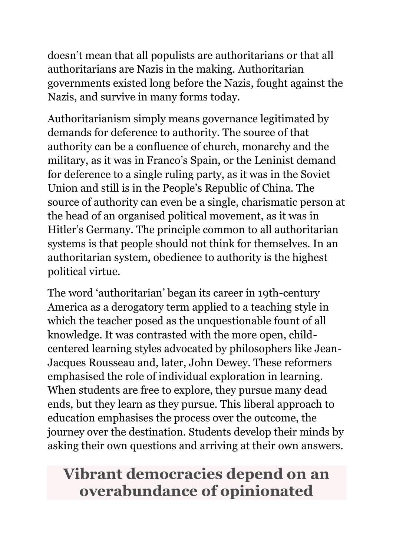doesn't mean that all populists are authoritarians or that all authoritarians are Nazis in the making. Authoritarian governments existed long before the Nazis, fought against the Nazis, and survive in many forms today.

Authoritarianism simply means governance legitimated by demands for deference to authority. The source of that authority can be a confluence of church, monarchy and the military, as it was in Franco's Spain, or the Leninist demand for deference to a single ruling party, as it was in the Soviet Union and still is in the People's Republic of China. The source of authority can even be a single, charismatic person at the head of an organised political movement, as it was in Hitler's Germany. The principle common to all authoritarian systems is that people should not think for themselves. In an authoritarian system, obedience to authority is the highest political virtue.

The word 'authoritarian' began its career in 19th-century America as a derogatory term applied to a teaching style in which the teacher posed as the unquestionable fount of all knowledge. It was contrasted with the more open, childcentered learning styles advocated by philosophers like Jean-Jacques Rousseau and, later, John Dewey. These reformers emphasised the role of individual exploration in learning. When students are free to explore, they pursue many dead ends, but they learn as they pursue. This liberal approach to education emphasises the process over the outcome, the journey over the destination. Students develop their minds by asking their own questions and arriving at their own answers.

# **Vibrant democracies depend on an overabundance of opinionated**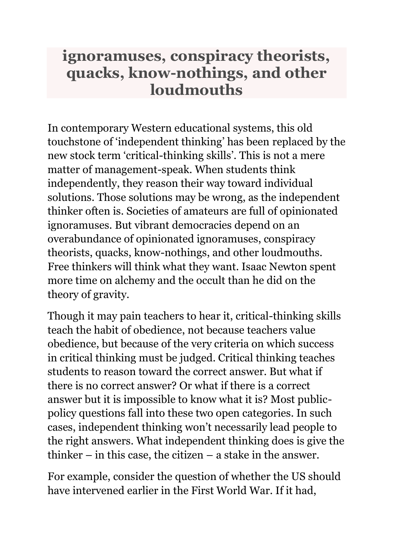### **ignoramuses, conspiracy theorists, quacks, know-nothings, and other loudmouths**

In contemporary Western educational systems, this old touchstone of 'independent thinking' has been replaced by the new stock term 'critical-thinking skills'. This is not a mere matter of management-speak. When students think independently, they reason their way toward individual solutions. Those solutions may be wrong, as the independent thinker often is. Societies of amateurs are full of opinionated ignoramuses. But vibrant democracies depend on an overabundance of opinionated ignoramuses, conspiracy theorists, quacks, know-nothings, and other loudmouths. Free thinkers will think what they want. Isaac Newton spent more time on alchemy and the occult than he did on the theory of gravity.

Though it may pain teachers to hear it, critical-thinking skills teach the habit of obedience, not because teachers value obedience, but because of the very criteria on which success in critical thinking must be judged. Critical thinking teaches students to reason toward the correct answer. But what if there is no correct answer? Or what if there is a correct answer but it is impossible to know what it is? Most publicpolicy questions fall into these two open categories. In such cases, independent thinking won't necessarily lead people to the right answers. What independent thinking does is give the thinker  $-$  in this case, the citizen  $-$  a stake in the answer.

For example, consider the question of whether the US should have intervened earlier in the First World War. If it had,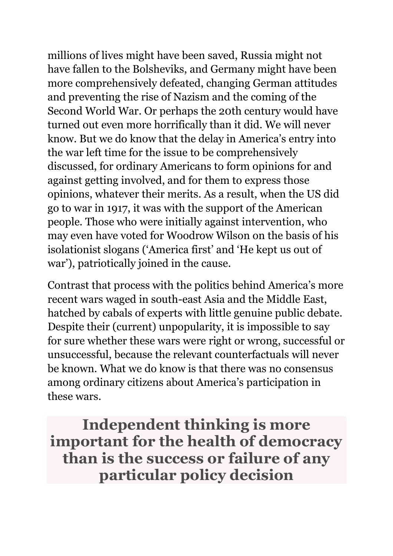millions of lives might have been saved, Russia might not have fallen to the Bolsheviks, and Germany might have been more comprehensively defeated, changing German attitudes and preventing the rise of Nazism and the coming of the Second World War. Or perhaps the 20th century would have turned out even more horrifically than it did. We will never know. But we do know that the delay in America's entry into the war left time for the issue to be comprehensively discussed, for ordinary Americans to form opinions for and against getting involved, and for them to express those opinions, whatever their merits. As a result, when the US did go to war in 1917, it was with the support of the American people. Those who were initially against intervention, who may even have voted for Woodrow Wilson on the basis of his isolationist slogans ('America first' and 'He kept us out of war'), patriotically joined in the cause.

Contrast that process with the politics behind America's more recent wars waged in south-east Asia and the Middle East, hatched by cabals of experts with little genuine public debate. Despite their (current) unpopularity, it is impossible to say for sure whether these wars were right or wrong, successful or unsuccessful, because the relevant counterfactuals will never be known. What we do know is that there was no consensus among ordinary citizens about America's participation in these wars.

**Independent thinking is more important for the health of democracy than is the success or failure of any particular policy decision**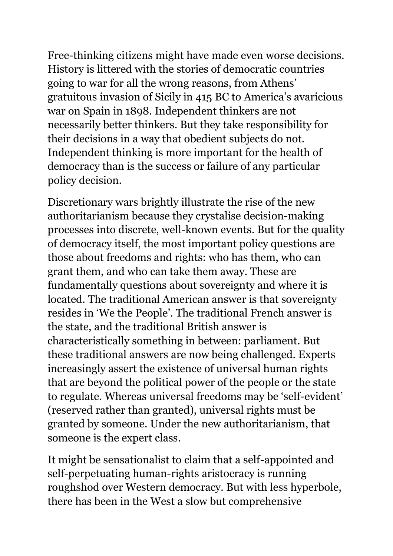Free-thinking citizens might have made even worse decisions. History is littered with the stories of democratic countries going to war for all the wrong reasons, from Athens' gratuitous invasion of Sicily in 415 BC to America's avaricious war on Spain in 1898. Independent thinkers are not necessarily better thinkers. But they take responsibility for their decisions in a way that obedient subjects do not. Independent thinking is more important for the health of democracy than is the success or failure of any particular policy decision.

Discretionary wars brightly illustrate the rise of the new authoritarianism because they crystalise decision-making processes into discrete, well-known events. But for the quality of democracy itself, the most important policy questions are those about freedoms and rights: who has them, who can grant them, and who can take them away. These are fundamentally questions about sovereignty and where it is located. The traditional American answer is that sovereignty resides in 'We the People'. The traditional French answer is the state, and the traditional British answer is characteristically something in between: parliament. But these traditional answers are now being challenged. Experts increasingly assert the existence of universal human rights that are beyond the political power of the people or the state to regulate. Whereas universal freedoms may be 'self-evident' (reserved rather than granted), universal rights must be granted by someone. Under the new authoritarianism, that someone is the expert class.

It might be sensationalist to claim that a self-appointed and self-perpetuating human-rights aristocracy is running roughshod over Western democracy. But with less hyperbole, there has been in the West a slow but comprehensive